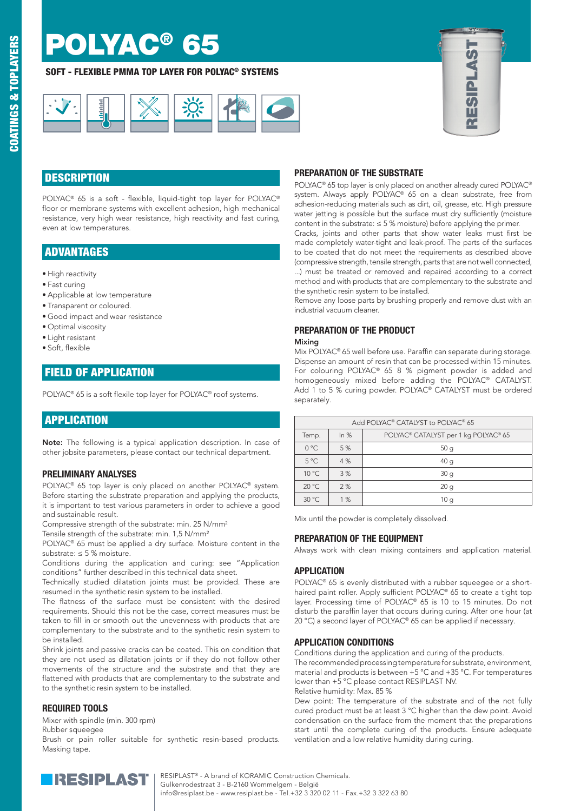# **POLYAC®**

## SOFT - FLEXIBLE PMMA TOP LAYER FOR POLYAC® SYSTEMS





# **DESCRIPTION**

POLYAC® 65 is a soft - flexible, liquid-tight top layer for POLYAC® floor or membrane systems with excellent adhesion, high mechanical resistance, very high wear resistance, high reactivity and fast curing, even at low temperatures.

## ADVANTAGES

- High reactivity
- Fast curing
- Applicable at low temperature
- Transparent or coloured.
- Good impact and wear resistance
- Optimal viscosity
- Light resistant
- Soft, flexible

## FIELD OF APPLICATION

POLYAC® 65 is a soft flexile top layer for POLYAC® roof systems.

# **APPLICATION**

Note: The following is a typical application description. In case of other jobsite parameters, please contact our technical department.

## PRELIMINARY ANALYSES

POLYAC® 65 top layer is only placed on another POLYAC® system. Before starting the substrate preparation and applying the products, it is important to test various parameters in order to achieve a good and sustainable result.

Compressive strength of the substrate: min. 25 N/mm2

Tensile strength of the substrate: min. 1,5 N/mm²

POLYAC<sup>®</sup> 65 must be applied a dry surface. Moisture content in the substrate: ≤ 5 % moisture.

Conditions during the application and curing: see "Application conditions" further described in this technical data sheet.

Technically studied dilatation joints must be provided. These are resumed in the synthetic resin system to be installed.

The flatness of the surface must be consistent with the desired requirements. Should this not be the case, correct measures must be taken to fill in or smooth out the unevenness with products that are complementary to the substrate and to the synthetic resin system to be installed.

Shrink joints and passive cracks can be coated. This on condition that they are not used as dilatation joints or if they do not follow other movements of the structure and the substrate and that they are flattened with products that are complementary to the substrate and to the synthetic resin system to be installed.

#### REQUIRED TOOLS

Mixer with spindle (min. 300 rpm)

Rubber squeegee

Brush or pain roller suitable for synthetic resin-based products. Masking tape.

## PREPARATION OF THE SUBSTRATE

POLYAC® 65 top layer is only placed on another already cured POLYAC® system. Always apply POLYAC® 65 on a clean substrate, free from adhesion-reducing materials such as dirt, oil, grease, etc. High pressure water jetting is possible but the surface must dry sufficiently (moisture content in the substrate:  $\leq$  5 % moisture) before applying the primer.

Cracks, joints and other parts that show water leaks must first be made completely water-tight and leak-proof. The parts of the surfaces to be coated that do not meet the requirements as described above (compressive strength, tensile strength, parts that are not well connected, ...) must be treated or removed and repaired according to a correct method and with products that are complementary to the substrate and the synthetic resin system to be installed.

Remove any loose parts by brushing properly and remove dust with an industrial vacuum cleaner.

### PREPARATION OF THE PRODUCT

#### Mixing

Mix POLYAC® 65 well before use. Paraffin can separate during storage. Dispense an amount of resin that can be processed within 15 minutes. For colouring POLYAC® 65 8 % pigment powder is added and homogeneously mixed before adding the POLYAC® CATALYST. Add 1 to 5 % curing powder. POLYAC® CATALYST must be ordered separately.

| Add POLYAC® CATALYST to POLYAC® 65 |        |                                      |  |  |
|------------------------------------|--------|--------------------------------------|--|--|
| Temp.                              | In $%$ | POLYAC® CATALYST per 1 kg POLYAC® 65 |  |  |
| $0^{\circ}$ C                      | 5 %    | 50q                                  |  |  |
| $5^{\circ}$ C                      | 4%     | 40q                                  |  |  |
| $10^{\circ}$ C                     | 3%     | 30q                                  |  |  |
| $20^{\circ}$ C                     | 2%     | 20q                                  |  |  |
| 30 °C                              | 1%     | 10 a                                 |  |  |

Mix until the powder is completely dissolved.

#### PREPARATION OF THE EQUIPMENT

Always work with clean mixing containers and application material.

#### **APPLICATION**

POLYAC® 65 is evenly distributed with a rubber squeegee or a shorthaired paint roller. Apply sufficient POLYAC® 65 to create a tight top layer. Processing time of POLYAC® 65 is 10 to 15 minutes. Do not disturb the paraffin layer that occurs during curing. After one hour (at 20 °C) a second layer of POLYAC® 65 can be applied if necessary.

#### APPLICATION CONDITIONS

Conditions during the application and curing of the products. The recommended processing temperature for substrate, environment, material and products is between +5 °C and +35 °C. For temperatures lower than +5 °C please contact RESIPLAST NV. Relative humidity: Max. 85 %

Dew point: The temperature of the substrate and of the not fully cured product must be at least 3 °C higher than the dew point. Avoid condensation on the surface from the moment that the preparations start until the complete curing of the products. Ensure adequate ventilation and a low relative humidity during curing.



**RESIPLAST**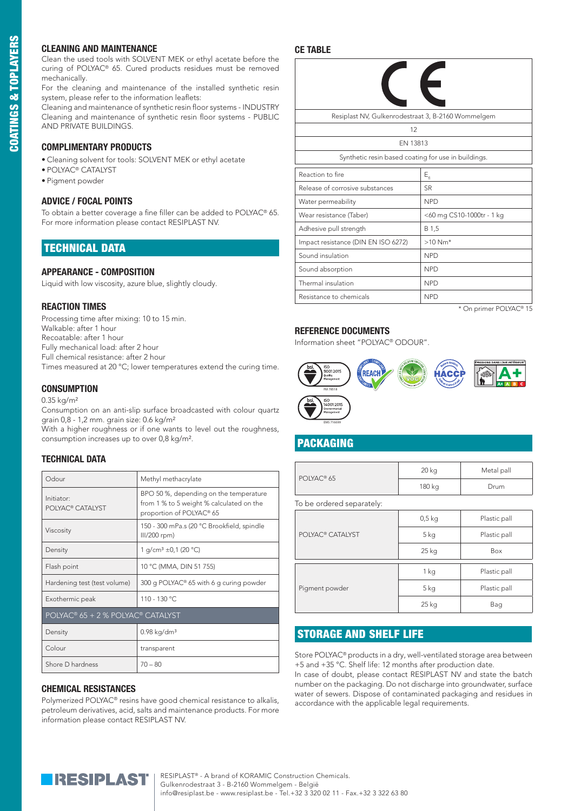#### CLEANING AND MAINTENANCE

Clean the used tools with SOLVENT MEK or ethyl acetate before the curing of POLYAC® 65. Cured products residues must be removed mechanically.

For the cleaning and maintenance of the installed synthetic resin system, please refer to the information leaflets:

Cleaning and maintenance of synthetic resin floor systems - INDUSTRY Cleaning and maintenance of synthetic resin floor systems - PUBLIC AND PRIVATE BUILDINGS.

#### COMPLIMENTARY PRODUCTS

• Cleaning solvent for tools: SOLVENT MEK or ethyl acetate

- POLYAC® CATALYST
- Pigment powder

#### ADVICE / FOCAL POINTS

To obtain a better coverage a fine filler can be added to POLYAC® 65. For more information please contact RESIPLAST NV.

## TECHNICAL DATA

#### APPEARANCE - COMPOSITION

Liquid with low viscosity, azure blue, slightly cloudy.

#### REACTION TIMES

Processing time after mixing: 10 to 15 min. Walkable: after 1 hour Recoatable: after 1 hour Fully mechanical load: after 2 hour Full chemical resistance: after 2 hour Times measured at 20 °C; lower temperatures extend the curing time.

#### **CONSUMPTION**

0.35 kg/m²

Consumption on an anti-slip surface broadcasted with colour quartz grain 0,8 - 1,2 mm. grain size: 0.6 kg/m²

With a higher roughness or if one wants to level out the roughness, consumption increases up to over 0,8 kg/m².

#### TECHNICAL DATA

| Odour                                      | Methyl methacrylate                                                                                            |  |  |  |
|--------------------------------------------|----------------------------------------------------------------------------------------------------------------|--|--|--|
| Initiator:<br>POLYAC <sup>®</sup> CATALYST | BPO 50 %, depending on the temperature<br>from 1 % to 5 weight % calculated on the<br>proportion of POLYAC® 65 |  |  |  |
| Viscosity                                  | 150 - 300 mPa.s (20 °C Brookfield, spindle<br>III/200 rpm)                                                     |  |  |  |
| Density                                    | 1 g/cm <sup>3</sup> ±0,1 (20 °C)                                                                               |  |  |  |
| Flash point                                | 10 °C (MMA, DIN 51 755)                                                                                        |  |  |  |
| Hardening test (test volume)               | 300 g POLYAC <sup>®</sup> 65 with 6 g curing powder                                                            |  |  |  |
| Exothermic peak                            | 110 - 130 °C                                                                                                   |  |  |  |
| POLYAC® 65 + 2 % POLYAC® CATALYST          |                                                                                                                |  |  |  |
| Density                                    | $0.98$ kg/dm <sup>3</sup>                                                                                      |  |  |  |
| Colour                                     | transparent                                                                                                    |  |  |  |
| Shore D hardness                           | $70 - 80$                                                                                                      |  |  |  |

#### CHEMICAL RESISTANCES

Polymerized POLYAC® resins have good chemical resistance to alkalis, petroleum derivatives, acid, salts and maintenance products. For more information please contact RESIPLAST NV.

## CE TABLE

| Resiplast NV, Gulkenrodestraat 3, B-2160 Wommelgem  |                           |  |  |  |  |
|-----------------------------------------------------|---------------------------|--|--|--|--|
| 12                                                  |                           |  |  |  |  |
| EN 13813                                            |                           |  |  |  |  |
| Synthetic resin based coating for use in buildings. |                           |  |  |  |  |
| Reaction to fire                                    | $E_{\rm fl}$              |  |  |  |  |
| Release of corrosive substances                     | <b>SR</b>                 |  |  |  |  |
| Water permeability                                  | <b>NPD</b>                |  |  |  |  |
| Wear resistance (Taber)                             | <60 mg CS10-1000tr - 1 kg |  |  |  |  |
| Adhesive pull strength                              | B 1,5                     |  |  |  |  |
| Impact resistance (DIN EN ISO 6272)                 | $>10$ Nm*                 |  |  |  |  |
| Sound insulation                                    | <b>NPD</b>                |  |  |  |  |
| Sound absorption                                    | <b>NPD</b>                |  |  |  |  |
| Thermal insulation                                  | <b>NPD</b>                |  |  |  |  |
| Resistance to chemicals                             | <b>NPD</b>                |  |  |  |  |

\* On primer POLYAC® 15

#### REFERENCE DOCUMENTS

Information sheet "POLYAC® ODOUR".



# PACKAGING

 $\overline{P}$ 

EMS 716699

| OLYAC <sup>®</sup> 65 | 20 kg  | Metal pall |
|-----------------------|--------|------------|
|                       | 180 kg | Drum       |

To be ordered separately:

|                              | $0,5$ kg        | Plastic pall |
|------------------------------|-----------------|--------------|
| POLYAC <sup>®</sup> CATALYST | 5 <sub>kg</sub> | Plastic pall |
|                              | 25 kg           | Box          |
|                              | 1 kg            | Plastic pall |
| Pigment powder               | 5 <sub>kg</sub> | Plastic pall |
|                              | 25 kg           | Bag          |

## STORAGE AND SHELF LIFE

Store POLYAC® products in a dry, well-ventilated storage area between +5 and +35 °C. Shelf life: 12 months after production date.

In case of doubt, please contact RESIPLAST NV and state the batch number on the packaging. Do not discharge into groundwater, surface water of sewers. Dispose of contaminated packaging and residues in accordance with the applicable legal requirements.